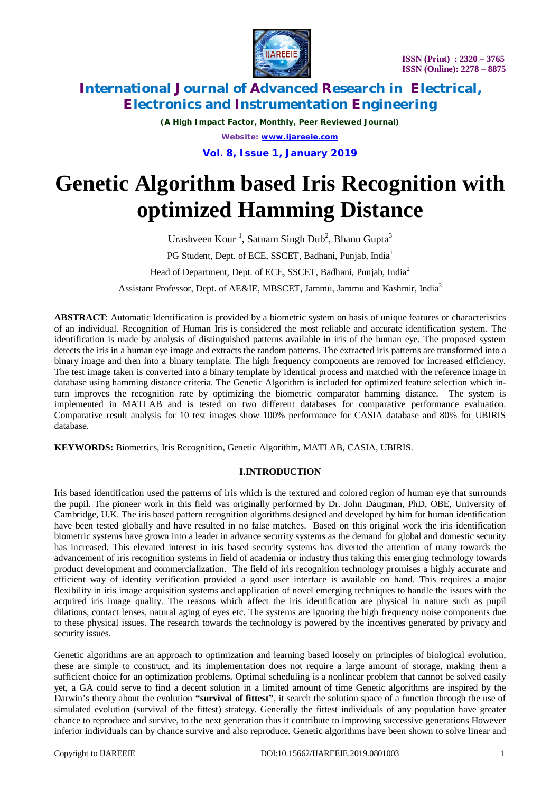

*(A High Impact Factor, Monthly, Peer Reviewed Journal) Website: [www.ijareeie.com](http://www.ijareeie.com)*

**Vol. 8, Issue 1, January 2019**

# **Genetic Algorithm based Iris Recognition with optimized Hamming Distance**

Urashveen Kour<sup>1</sup>, Satnam Singh Dub<sup>2</sup>, Bhanu Gupta<sup>3</sup> PG Student, Dept. of ECE, SSCET, Badhani, Punjab, India<sup>1</sup> Head of Department, Dept. of ECE, SSCET, Badhani, Punjab, India<sup>2</sup>

Assistant Professor, Dept. of AE&IE, MBSCET, Jammu, Jammu and Kashmir, India<sup>3</sup>

**ABSTRACT**: Automatic Identification is provided by a biometric system on basis of unique features or characteristics of an individual. Recognition of Human Iris is considered the most reliable and accurate identification system. The identification is made by analysis of distinguished patterns available in iris of the human eye. The proposed system detects the iris in a human eye image and extracts the random patterns. The extracted iris patterns are transformed into a binary image and then into a binary template. The high frequency components are removed for increased efficiency. The test image taken is converted into a binary template by identical process and matched with the reference image in database using hamming distance criteria. The Genetic Algorithm is included for optimized feature selection which inturn improves the recognition rate by optimizing the biometric comparator hamming distance. The system is implemented in MATLAB and is tested on two different databases for comparative performance evaluation. Comparative result analysis for 10 test images show 100% performance for CASIA database and 80% for UBIRIS database.

**KEYWORDS:** Biometrics, Iris Recognition, Genetic Algorithm, MATLAB, CASIA, UBIRIS.

## **I.INTRODUCTION**

Iris based identification used the patterns of iris which is the textured and colored region of human eye that surrounds the pupil. The pioneer work in this field was originally performed by Dr. John Daugman, PhD, OBE, University of Cambridge, U.K. The iris based pattern recognition algorithms designed and developed by him for human identification have been tested globally and have resulted in no false matches. Based on this original work the iris identification biometric systems have grown into a leader in advance security systems as the demand for global and domestic security has increased. This elevated interest in iris based security systems has diverted the attention of many towards the advancement of iris recognition systems in field of academia or industry thus taking this emerging technology towards product development and commercialization. The field of iris recognition technology promises a highly accurate and efficient way of identity verification provided a good user interface is available on hand. This requires a major flexibility in iris image acquisition systems and application of novel emerging techniques to handle the issues with the acquired iris image quality. The reasons which affect the iris identification are physical in nature such as pupil dilations, contact lenses, natural aging of eyes etc. The systems are ignoring the high frequency noise components due to these physical issues. The research towards the technology is powered by the incentives generated by privacy and security issues.

Genetic algorithms are an approach to optimization and learning based loosely on principles of biological evolution, these are simple to construct, and its implementation does not require a large amount of storage, making them a sufficient choice for an optimization problems. Optimal scheduling is a nonlinear problem that cannot be solved easily yet, a GA could serve to find a decent solution in a limited amount of time Genetic algorithms are inspired by the Darwin's theory about the evolution **"survival of fittest"**, it search the solution space of a function through the use of simulated evolution (survival of the fittest) strategy. Generally the fittest individuals of any population have greater chance to reproduce and survive, to the next generation thus it contribute to improving successive generations However inferior individuals can by chance survive and also reproduce. Genetic algorithms have been shown to solve linear and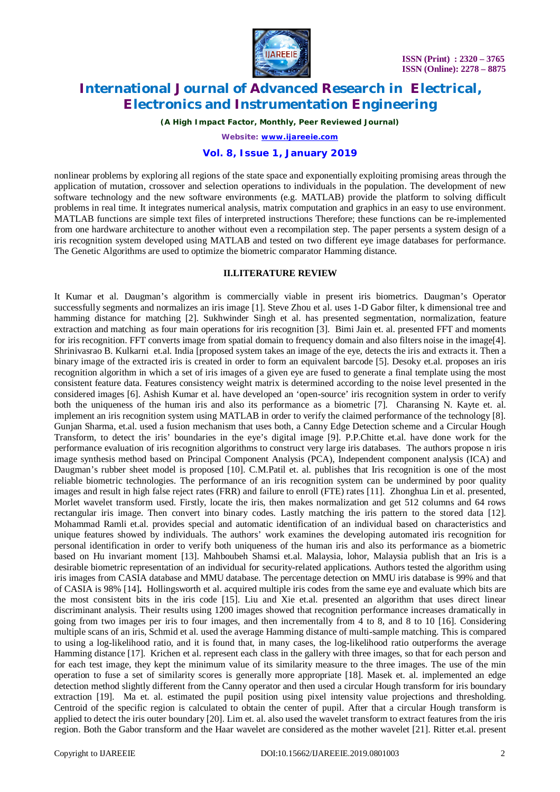

*(A High Impact Factor, Monthly, Peer Reviewed Journal)*

*Website: [www.ijareeie.com](http://www.ijareeie.com)*

## **Vol. 8, Issue 1, January 2019**

nonlinear problems by exploring all regions of the state space and exponentially exploiting promising areas through the application of mutation, crossover and selection operations to individuals in the population. The development of new software technology and the new software environments (e.g. MATLAB) provide the platform to solving difficult problems in real time. It integrates numerical analysis, matrix computation and graphics in an easy to use environment. MATLAB functions are simple text files of interpreted instructions Therefore; these functions can be re-implemented from one hardware architecture to another without even a recompilation step. The paper persents a system design of a iris recognition system developed using MATLAB and tested on two different eye image databases for performance. The Genetic Algorithms are used to optimize the biometric comparator Hamming distance.

#### **II.LITERATURE REVIEW**

It Kumar et al. Daugman's algorithm is commercially viable in present iris biometrics. Daugman's Operator successfully segments and normalizes an iris image [1]. Steve Zhou et al. uses 1-D Gabor filter, k dimensional tree and hamming distance for matching [2]. Sukhwinder Singh et al. has presented segmentation, normalization, feature extraction and matching as four main operations for iris recognition [3]. Bimi Jain et. al. presented FFT and moments for iris recognition. FFT converts image from spatial domain to frequency domain and also filters noise in the image[4]. Shrinivasrao B. Kulkarni et.al. India [proposed system takes an image of the eye, detects the iris and extracts it. Then a binary image of the extracted iris is created in order to form an equivalent barcode [5]. Desoky et.al. proposes an iris recognition algorithm in which a set of iris images of a given eye are fused to generate a final template using the most consistent feature data. Features consistency weight matrix is determined according to the noise level presented in the considered images [6]. Ashish Kumar et al. have developed an 'open-source' iris recognition system in order to verify both the uniqueness of the human iris and also its performance as a biometric [7]. Charansing N. Kayte et. al. implement an iris recognition system using MATLAB in order to verify the claimed performance of the technology [8]. Gunjan Sharma, et.al. used a fusion mechanism that uses both, a Canny Edge Detection scheme and a Circular Hough Transform, to detect the iris' boundaries in the eye's digital image [9]. P.P.Chitte et.al. have done work for the performance evaluation of iris recognition algorithms to construct very large iris databases. The authors propose n iris image synthesis method based on Principal Component Analysis (PCA), Independent component analysis (ICA) and Daugman's rubber sheet model is proposed [10]. C.M.Patil et. al. publishes that Iris recognition is one of the most reliable biometric technologies. The performance of an iris recognition system can be undermined by poor quality images and result in high false reject rates (FRR) and failure to enroll (FTE) rates [11]. Zhonghua Lin et al. presented, Morlet wavelet transform used. Firstly, locate the iris, then makes normalization and get 512 columns and 64 rows rectangular iris image. Then convert into binary codes. Lastly matching the iris pattern to the stored data [12]. Mohammad Ramli et.al. provides special and automatic identification of an individual based on characteristics and unique features showed by individuals. The authors' work examines the developing automated iris recognition for personal identification in order to verify both uniqueness of the human iris and also its performance as a biometric based on Hu invariant moment [13]. Mahboubeh Shamsi et.al. Malaysia, lohor, Malaysia publish that an Iris is a desirable biometric representation of an individual for security-related applications. Authors tested the algorithm using iris images from CASIA database and MMU database. The percentage detection on MMU iris database is 99% and that of CASIA is 98% [14]**.** Hollingsworth et al. acquired multiple iris codes from the same eye and evaluate which bits are the most consistent bits in the iris code [15]. Liu and Xie et.al. presented an algorithm that uses direct linear discriminant analysis. Their results using 1200 images showed that recognition performance increases dramatically in going from two images per iris to four images, and then incrementally from 4 to 8, and 8 to 10 [16]. Considering multiple scans of an iris, Schmid et al. used the average Hamming distance of multi-sample matching. This is compared to using a log-likelihood ratio, and it is found that, in many cases, the log-likelihood ratio outperforms the average Hamming distance [17]. Krichen et al. represent each class in the gallery with three images, so that for each person and for each test image, they kept the minimum value of its similarity measure to the three images. The use of the min operation to fuse a set of similarity scores is generally more appropriate [18]. Masek et. al. implemented an edge detection method slightly different from the Canny operator and then used a circular Hough transform for iris boundary extraction [19]. Ma et. al. estimated the pupil position using pixel intensity value projections and thresholding. Centroid of the specific region is calculated to obtain the center of pupil. After that a circular Hough transform is applied to detect the iris outer boundary [20]. Lim et. al. also used the wavelet transform to extract features from the iris region. Both the Gabor transform and the Haar wavelet are considered as the mother wavelet [21]. Ritter et.al. present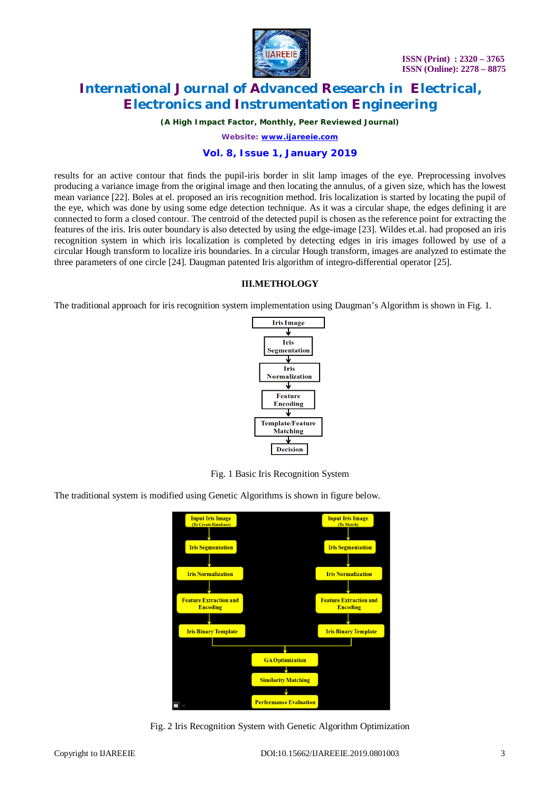

*(A High Impact Factor, Monthly, Peer Reviewed Journal)*

*Website: [www.ijareeie.com](http://www.ijareeie.com)*

#### **Vol. 8, Issue 1, January 2019**

results for an active contour that finds the pupil-iris border in slit lamp images of the eye. Preprocessing involves producing a variance image from the original image and then locating the annulus, of a given size, which has the lowest mean variance [22]. Boles at el. proposed an iris recognition method. Iris localization is started by locating the pupil of the eye, which was done by using some edge detection technique. As it was a circular shape, the edges defining it are connected to form a closed contour. The centroid of the detected pupil is chosen as the reference point for extracting the features of the iris. Iris outer boundary is also detected by using the edge-image [23]. Wildes et.al. had proposed an iris recognition system in which iris localization is completed by detecting edges in iris images followed by use of a circular Hough transform to localize iris boundaries. In a circular Hough transform, images are analyzed to estimate the three parameters of one circle [24]. Daugman patented Iris algorithm of integro-differential operator [25].

#### **III.METHOLOGY**

The traditional approach for iris recognition system implementation using Daugman's Algorithm is shown in Fig. 1.



Fig. 1 Basic Iris Recognition System

The traditional system is modified using Genetic Algorithms is shown in figure below.



Fig. 2 Iris Recognition System with Genetic Algorithm Optimization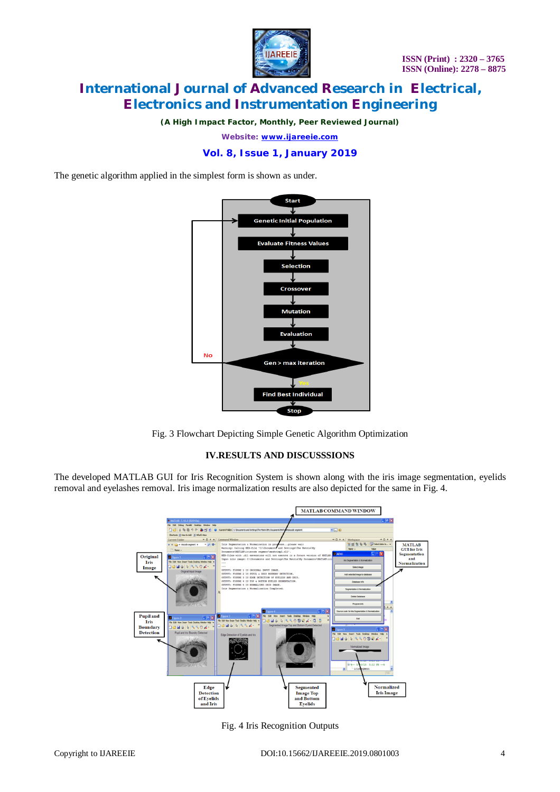

*(A High Impact Factor, Monthly, Peer Reviewed Journal)*

*Website: [www.ijareeie.com](http://www.ijareeie.com)*

## **Vol. 8, Issue 1, January 2019**

The genetic algorithm applied in the simplest form is shown as under.



Fig. 3 Flowchart Depicting Simple Genetic Algorithm Optimization

#### **IV.RESULTS AND DISCUSSSIONS**

The developed MATLAB GUI for Iris Recognition System is shown along with the iris image segmentation, eyelids removal and eyelashes removal. Iris image normalization results are also depicted for the same in Fig. 4.



Fig. 4 Iris Recognition Outputs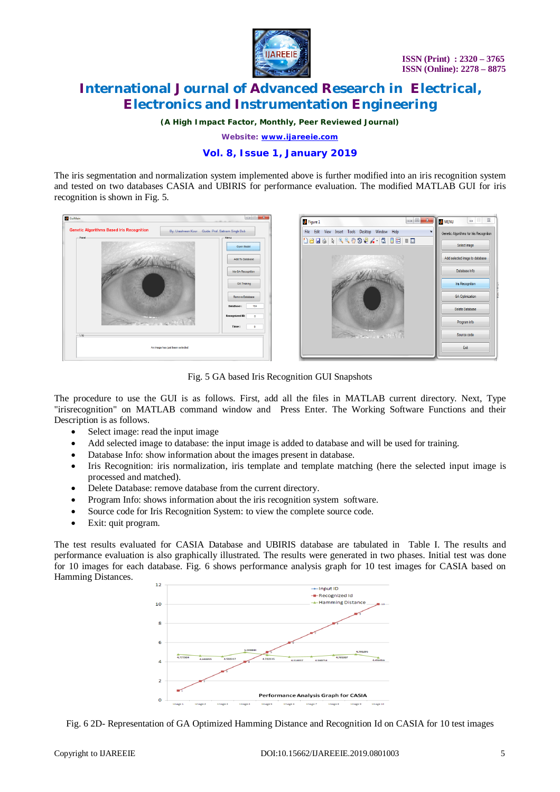

*(A High Impact Factor, Monthly, Peer Reviewed Journal)*

*Website: [www.ijareeie.com](http://www.ijareeie.com)*

## **Vol. 8, Issue 1, January 2019**

The iris segmentation and normalization system implemented above is further modified into an iris recognition system and tested on two databases CASIA and UBIRIS for performance evaluation. The modified MATLAB GUI for iris recognition is shown in Fig. 5.



Fig. 5 GA based Iris Recognition GUI Snapshots

The procedure to use the GUI is as follows. First, add all the files in MATLAB current directory. Next, Type "irisrecognition" on MATLAB command window and Press Enter. The Working Software Functions and their Description is as follows.

- Select image: read the input image
- Add selected image to database: the input image is added to database and will be used for training.
- Database Info: show information about the images present in database.
- Iris Recognition: iris normalization, iris template and template matching (here the selected input image is processed and matched).
- Delete Database: remove database from the current directory.
- Program Info: shows information about the iris recognition system software.
- Source code for Iris Recognition System: to view the complete source code.
- Exit: quit program.

The test results evaluated for CASIA Database and UBIRIS database are tabulated in Table I. The results and performance evaluation is also graphically illustrated. The results were generated in two phases. Initial test was done for 10 images for each database. Fig. 6 shows performance analysis graph for 10 test images for CASIA based on Hamming Distances.



Fig. 6 2D- Representation of GA Optimized Hamming Distance and Recognition Id on CASIA for 10 test images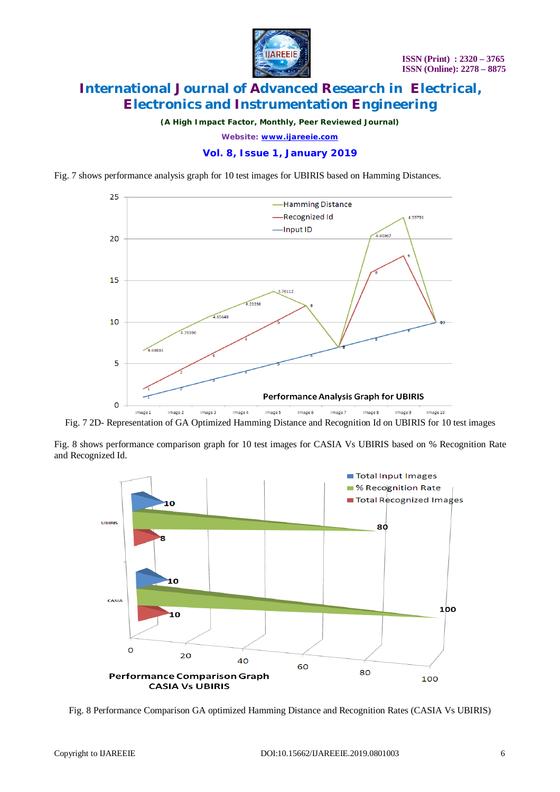

*(A High Impact Factor, Monthly, Peer Reviewed Journal)*

*Website: [www.ijareeie.com](http://www.ijareeie.com)*

## **Vol. 8, Issue 1, January 2019**

Fig. 7 shows performance analysis graph for 10 test images for UBIRIS based on Hamming Distances.



Fig. 7 2D- Representation of GA Optimized Hamming Distance and Recognition Id on UBIRIS for 10 test images

Fig. 8 shows performance comparison graph for 10 test images for CASIA Vs UBIRIS based on % Recognition Rate and Recognized Id.



Fig. 8 Performance Comparison GA optimized Hamming Distance and Recognition Rates (CASIA Vs UBIRIS)